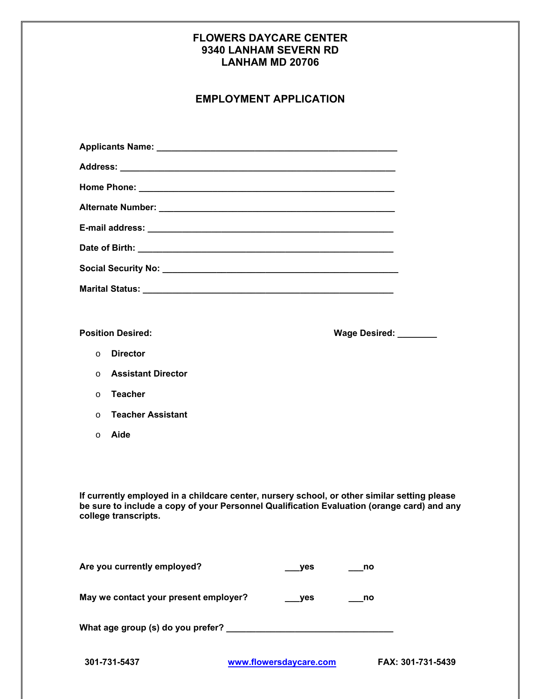## **FLOWERS DAYCARE CENTER 9340 LANHAM SEVERN RD LANHAM MD 20706**

# **EMPLOYMENT APPLICATION**

|          | <b>Position Desired:</b>  | Wage Desired: _______ |  |
|----------|---------------------------|-----------------------|--|
| $\circ$  | <b>Director</b>           |                       |  |
| $\Omega$ | <b>Assistant Director</b> |                       |  |
| $\Omega$ | <b>Teacher</b>            |                       |  |
| $\Omega$ | <b>Teacher Assistant</b>  |                       |  |
| $\circ$  | Aide                      |                       |  |
|          |                           |                       |  |

**If currently employed in a childcare center, nursery school, or other similar setting please be sure to include a copy of your Personnel Qualification Evaluation (orange card) and any college transcripts.** 

| Are you currently employed?           | ves | no |
|---------------------------------------|-----|----|
| May we contact your present employer? | ves | no |
| What age group (s) do you prefer?     |     |    |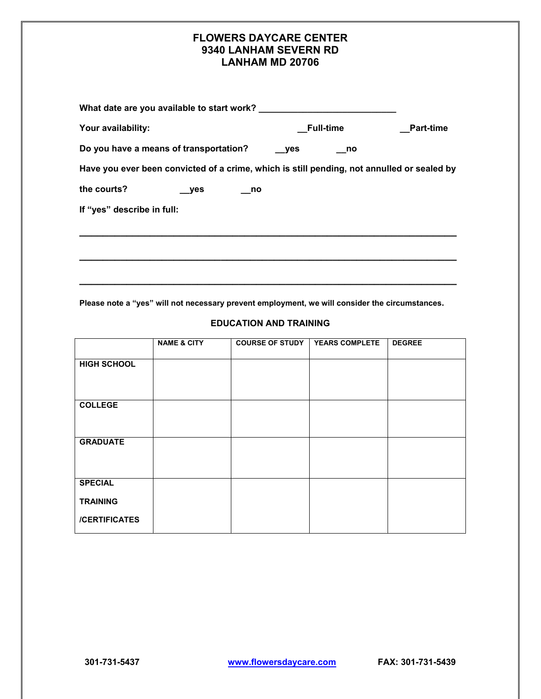### **FLOWERS DAYCARE CENTER 9340 LANHAM SEVERN RD LANHAM MD 20706**

| What date are you available to start work?                                                 |                  |                  |  |  |
|--------------------------------------------------------------------------------------------|------------------|------------------|--|--|
| Your availability:                                                                         | <b>Full-time</b> | <b>Part-time</b> |  |  |
| Do you have a means of transportation?                                                     | ves<br>no no     |                  |  |  |
| Have you ever been convicted of a crime, which is still pending, not annulled or sealed by |                  |                  |  |  |
| the courts?<br>yes<br>no                                                                   |                  |                  |  |  |
| If "yes" describe in full:                                                                 |                  |                  |  |  |
|                                                                                            |                  |                  |  |  |
|                                                                                            |                  |                  |  |  |
|                                                                                            |                  |                  |  |  |

**Please note a "yes" will not necessary prevent employment, we will consider the circumstances.** 

#### **EDUCATION AND TRAINING**

|                                   | <b>NAME &amp; CITY</b> | <b>COURSE OF STUDY</b> | <b>YEARS COMPLETE</b> | <b>DEGREE</b> |
|-----------------------------------|------------------------|------------------------|-----------------------|---------------|
| <b>HIGH SCHOOL</b>                |                        |                        |                       |               |
| <b>COLLEGE</b>                    |                        |                        |                       |               |
| <b>GRADUATE</b>                   |                        |                        |                       |               |
| <b>SPECIAL</b><br><b>TRAINING</b> |                        |                        |                       |               |
| /CERTIFICATES                     |                        |                        |                       |               |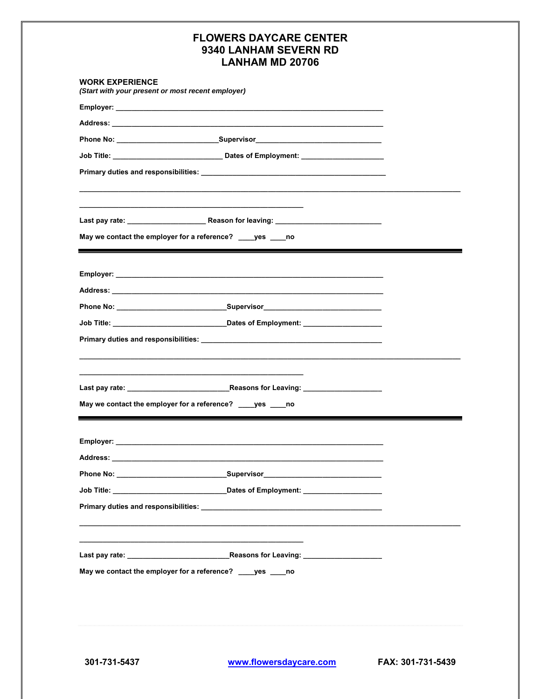# **FLOWERS DAYCARE CENTER** 9340 LANHAM SEVERN RD **LANHAM MD 20706**

| <b>WORK EXPERIENCE</b><br>(Start with your present or most recent employer) |                                                                                                                                                                                                                                |  |
|-----------------------------------------------------------------------------|--------------------------------------------------------------------------------------------------------------------------------------------------------------------------------------------------------------------------------|--|
|                                                                             |                                                                                                                                                                                                                                |  |
|                                                                             | Address: the contract of the contract of the contract of the contract of the contract of the contract of the contract of the contract of the contract of the contract of the contract of the contract of the contract of the c |  |
|                                                                             |                                                                                                                                                                                                                                |  |
|                                                                             |                                                                                                                                                                                                                                |  |
|                                                                             |                                                                                                                                                                                                                                |  |
|                                                                             |                                                                                                                                                                                                                                |  |
|                                                                             |                                                                                                                                                                                                                                |  |
|                                                                             | May we contact the employer for a reference? ____ yes ____ no<br><u> 1980 - Johann Stoff, deutscher Stoff, der Stoff, deutscher Stoff, der Stoff, der Stoff, der Stoff, der Stoff</u>                                          |  |
|                                                                             |                                                                                                                                                                                                                                |  |
|                                                                             |                                                                                                                                                                                                                                |  |
|                                                                             | Phone No: _________________________________Supervisor___________________________                                                                                                                                               |  |
|                                                                             |                                                                                                                                                                                                                                |  |
|                                                                             |                                                                                                                                                                                                                                |  |
|                                                                             |                                                                                                                                                                                                                                |  |
|                                                                             |                                                                                                                                                                                                                                |  |
|                                                                             | May we contact the employer for a reference? ____ yes ____ no                                                                                                                                                                  |  |
|                                                                             |                                                                                                                                                                                                                                |  |
|                                                                             |                                                                                                                                                                                                                                |  |
|                                                                             |                                                                                                                                                                                                                                |  |
|                                                                             |                                                                                                                                                                                                                                |  |
|                                                                             |                                                                                                                                                                                                                                |  |
|                                                                             |                                                                                                                                                                                                                                |  |
|                                                                             |                                                                                                                                                                                                                                |  |
|                                                                             | May we contact the employer for a reference? ____yes ____no                                                                                                                                                                    |  |